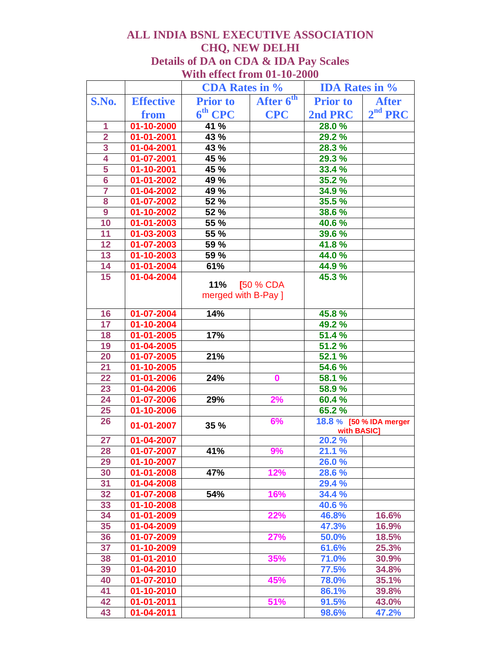## **ALL INDIA BSNL EXECUTIVE ASSOCIATION CHQ, NEW DELHI Details of DA on CDA & IDA Pay Scales With effect from 01-10-2000**

|                         |                          | <b>CDA Rates in %</b> |                                  | <b>IDA Rates in %</b> |                         |
|-------------------------|--------------------------|-----------------------|----------------------------------|-----------------------|-------------------------|
| S.No.                   | <b>Effective</b>         | <b>Prior</b> to       | After $\overline{6}^{\text{th}}$ | <b>Prior to</b>       | <b>After</b>            |
|                         | from                     | $6th$ CPC             | <b>CPC</b>                       | 2nd PRC               | 2 <sup>nd</sup> PRC     |
| 1                       | $01 - 10 - 2000$         | 41 %                  |                                  | 28.0%                 |                         |
| $\overline{\mathbf{2}}$ | $01 - 01 - 2001$         | 43 %                  |                                  | 29.2 %                |                         |
|                         | 01-04-2001               | 43 %                  |                                  | 28.3 %                |                         |
| $\frac{3}{4}$           | 01-07-2001               | 45 %                  |                                  | 29.3 %                |                         |
| 5                       | 01-10-2001               | 45 %                  |                                  | 33.4 %                |                         |
| $6\overline{6}$         | 01-01-2002               | 49 %                  |                                  | 35.2 %                |                         |
| 7                       | 01-04-2002               | 49 %                  |                                  | $34.9\%$              |                         |
| 8                       | $01 - 07 - 2002$         | 52 %                  |                                  | 35.5 %                |                         |
| $\overline{9}$          | 01-10-2002               | 52 %                  |                                  | 38.6 %                |                         |
| 10                      | $\overline{01}$ -01-2003 | 55%                   |                                  | 40.6%                 |                         |
| $\overline{11}$         | 01-03-2003               | 55%                   |                                  | 39.6 %                |                         |
| 12                      | 01-07-2003               | 59 %                  |                                  | 41.8%                 |                         |
| 13                      | 01-10-2003               | 59 %                  |                                  | 44.0%                 |                         |
| 14                      | 01-01-2004               | 61%                   |                                  | 44.9%                 |                         |
| 15                      | 01-04-2004               |                       |                                  | 45.3 %                |                         |
|                         |                          | 11%                   | [50 % CDA                        |                       |                         |
|                         |                          | merged with B-Pay ]   |                                  |                       |                         |
| 16                      | 01-07-2004               | 14%                   |                                  | 45.8%                 |                         |
| 17                      | 01-10-2004               |                       |                                  | 49.2 %                |                         |
| 18                      | $01 - 01 - 2005$         | 17%                   |                                  | 51.4 %                |                         |
| 19                      | 01-04-2005               |                       |                                  | 51.2%                 |                         |
| 20                      | 01-07-2005               | 21%                   |                                  | 52.1%                 |                         |
| 21                      | 01-10-2005               |                       |                                  | 54.6 %                |                         |
| $\overline{22}$         | 01-01-2006               | 24%                   | $\bf{0}$                         | 58.1 %                |                         |
| 23                      | 01-04-2006               |                       |                                  | 58.9%                 |                         |
| 24                      | $01 - 07 - 2006$         | 29%                   | 2%                               | 60.4 %                |                         |
| 25                      | 01-10-2006               |                       |                                  | 65.2%                 |                         |
| 26                      | 01-01-2007               | 35 %                  | 6%                               | with BASIC]           | 18.8 % [50 % IDA merger |
| 27                      | 01-04-2007               |                       |                                  | 20.2%                 |                         |
| 28                      | 01-07-2007               | 41%                   | 9%                               | 21.1 %                |                         |
| 29                      | 01-10-2007               |                       |                                  | 26.0%                 |                         |
| 30                      | $01 - 01 - 2008$         | 47%                   | 12%                              | 28.6 %                |                         |
| 31                      | 01-04-2008               |                       |                                  | 29.4 %                |                         |
| 32                      | 01-07-2008               | 54%                   | 16%                              | 34.4 %                |                         |
| 33                      | 01-10-2008               |                       |                                  | 40.6 %                |                         |
| 34                      | 01-01-2009               |                       | 22%                              | 46.8%                 | 16.6%                   |
| 35                      | 01-04-2009               |                       |                                  | 47.3%                 | 16.9%                   |
| 36                      | 01-07-2009               |                       | 27%                              | 50.0%                 | 18.5%                   |
| $\overline{37}$         | 01-10-2009               |                       |                                  | 61.6%                 | 25.3%                   |
| 38                      | $01 - 01 - 2010$         |                       | 35%                              | 71.0%                 | 30.9%                   |
| 39                      | 01-04-2010               |                       |                                  | 77.5%                 | 34.8%                   |
| 40                      | 01-07-2010               |                       | 45%                              | 78.0%                 | 35.1%                   |
| 41                      | 01-10-2010               |                       |                                  | 86.1%                 | 39.8%                   |
| 42                      | 01-01-2011               |                       | 51%                              | 91.5%                 | 43.0%                   |
| 43                      | $01 - 04 - 2011$         |                       |                                  | 98.6%                 | 47.2%                   |